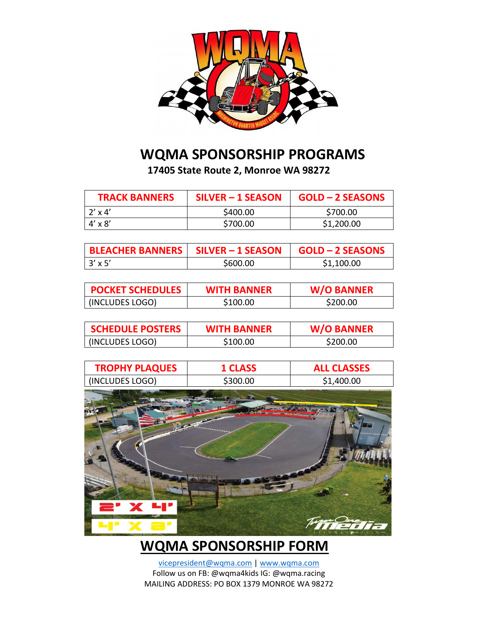

## **WQMA SPONSORSHIP PROGRAMS**

**17405 State Route 2, Monroe WA 98272**

| <b>TRACK BANNERS</b> | SILVER - 1 SEASON | <b>GOLD - 2 SEASONS</b> |
|----------------------|-------------------|-------------------------|
| $2' \times 4'$       | \$400.00          | \$700.00                |
| $4' \times 8'$       | \$700.00          | \$1,200.00              |

| <b>BLEACHER BANNERS   SILVER - 1 SEASON</b> |          | GOLD - 2 SEASONS |
|---------------------------------------------|----------|------------------|
| $\frac{3x}{5}$                              | \$600.00 | \$1,100.00       |

| <b>POCKET SCHEDULES</b> | <b>WITH BANNER</b> | <b>W/O BANNER</b> |
|-------------------------|--------------------|-------------------|
| (INCLUDES LOGO)         | \$100.00           | \$200.00          |

| <b>SCHEDULE POSTERS</b> | <b>WITH BANNER</b> | <b>W/O BANNER</b> |
|-------------------------|--------------------|-------------------|
| (INCLUDES LOGO)         | \$100.00           | \$200.00          |

| <b>TROPHY PLAQUES</b> | <b>1 CLASS</b> | <b>ALL CLASSES</b> |
|-----------------------|----------------|--------------------|
| (INCLUDES LOGO)       | \$300.00       | \$1,400.00         |
| $P'X$ <sup>u</sup>    |                |                    |
|                       |                |                    |

## **WQMA SPONSORSHIP FORM**

[vicepresident@wqma.com](mailto:vicepresident@wqma.com) | [www.wqma.com](http://www.wqma.com/) Follow us on FB: @wqma4kids IG: @wqma.racing MAILING ADDRESS: PO BOX 1379 MONROE WA 98272